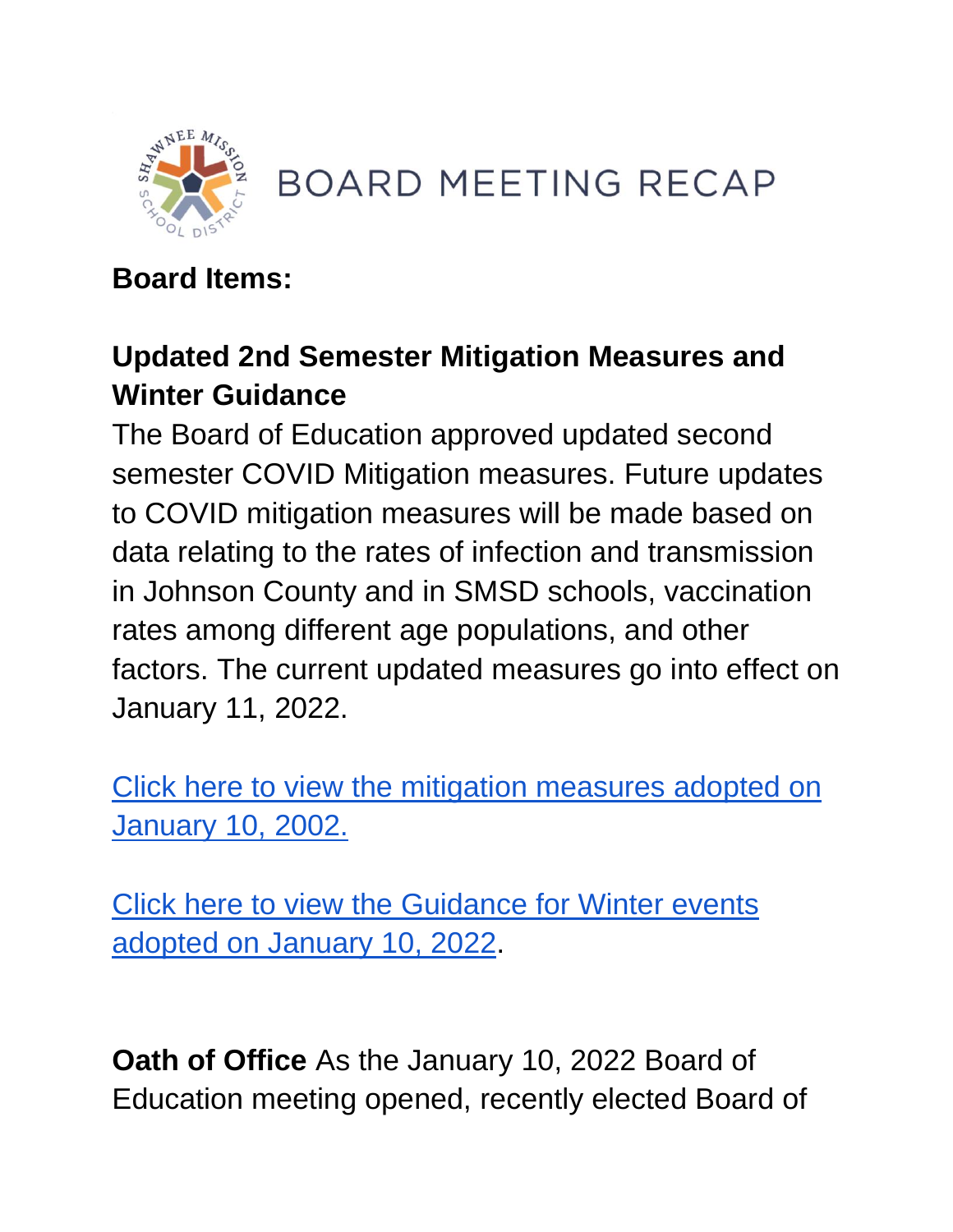

**BOARD MEETING RECAP** 

# **Board Items:**

# **Updated 2nd Semester Mitigation Measures and Winter Guidance**

The Board of Education approved updated second semester COVID Mitigation measures. Future updates to COVID mitigation measures will be made based on data relating to the rates of infection and transmission in Johnson County and in SMSD schools, vaccination rates among different age populations, and other factors. The current updated measures go into effect on January 11, 2022.

[Click here to view the mitigation measures adopted on](https://go.boarddocs.com/ks/smsd/Board.nsf/files/CAJUPZ7D16BE/$file/1.10.22%2021-22-2nd%20Semester%20COVID%20%20Mitigation%20Plan.pdf)  [January 10, 2002.](https://go.boarddocs.com/ks/smsd/Board.nsf/files/CAJUPZ7D16BE/$file/1.10.22%2021-22-2nd%20Semester%20COVID%20%20Mitigation%20Plan.pdf) 

[Click here to view the Guidance for Winter events](https://go.boarddocs.com/ks/smsd/Board.nsf/files/CAJR3A68FEB1/$file/1.10.22%2021-22%20SMSD%20Guidance%20for%20Winter%20events.pdf)  [adopted on January 10, 2022.](https://go.boarddocs.com/ks/smsd/Board.nsf/files/CAJR3A68FEB1/$file/1.10.22%2021-22%20SMSD%20Guidance%20for%20Winter%20events.pdf)

**Oath of Office** As the January 10, 2022 Board of Education meeting opened, recently elected Board of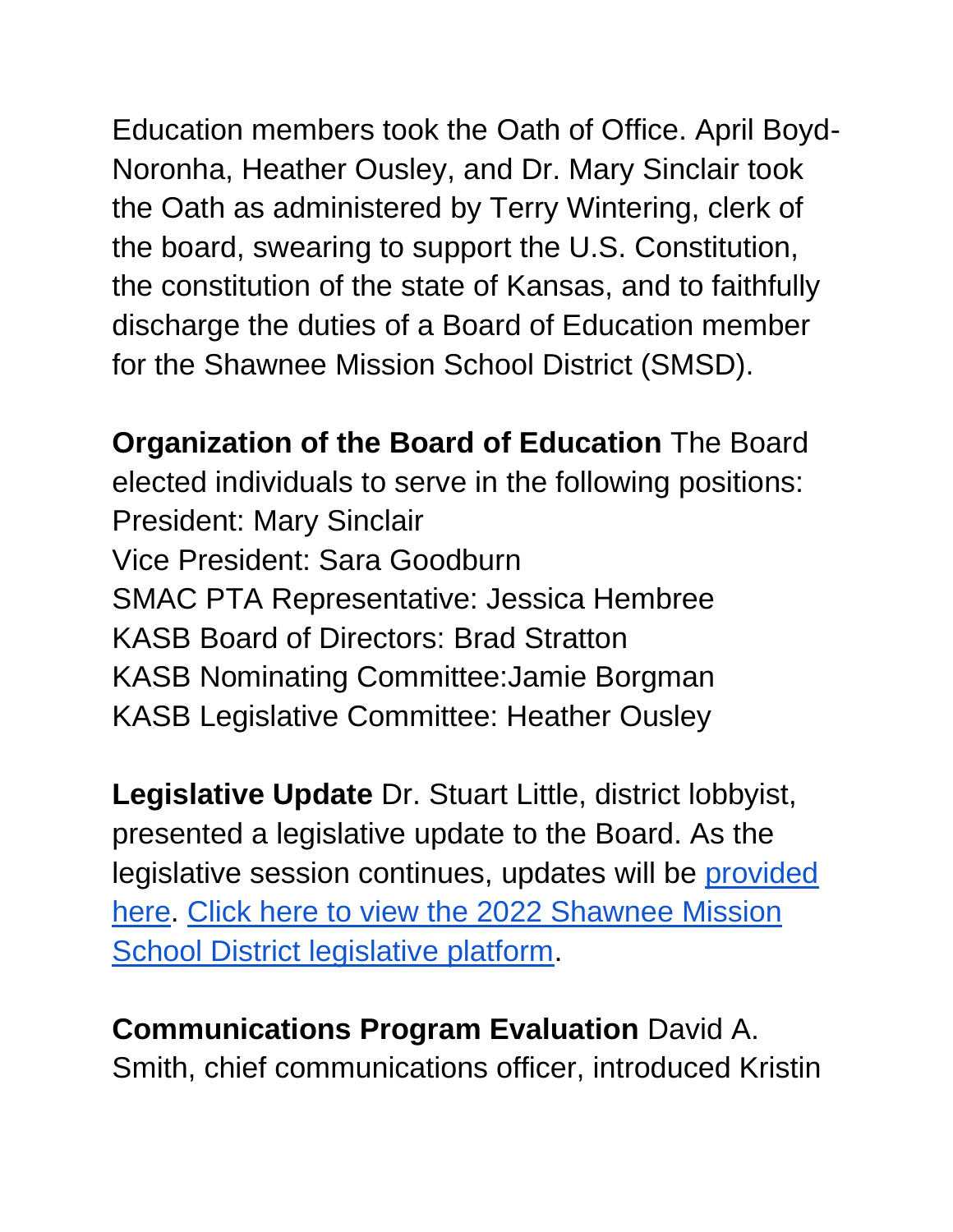Education members took the Oath of Office. April Boyd-Noronha, Heather Ousley, and Dr. Mary Sinclair took the Oath as administered by Terry Wintering, clerk of the board, swearing to support the U.S. Constitution, the constitution of the state of Kansas, and to faithfully discharge the duties of a Board of Education member for the Shawnee Mission School District (SMSD).

**Organization of the Board of Education** The Board elected individuals to serve in the following positions: President: Mary Sinclair Vice President: Sara Goodburn SMAC PTA Representative: Jessica Hembree KASB Board of Directors: Brad Stratton KASB Nominating Committee:Jamie Borgman KASB Legislative Committee: Heather Ousley

**Legislative Update** Dr. Stuart Little, district lobbyist, presented a legislative update to the Board. As the legislative session continues, updates will be provided [here.](https://www.smsd.org/about/legislative-information/lobbyist-update) [Click here to view the 2022 Shawnee Mission](https://www.smsd.org/about/legislative-information/legislative-advocacy-and-platform)  [School District legislative platform.](https://www.smsd.org/about/legislative-information/legislative-advocacy-and-platform)

**Communications Program Evaluation** David A. Smith, chief communications officer, introduced Kristin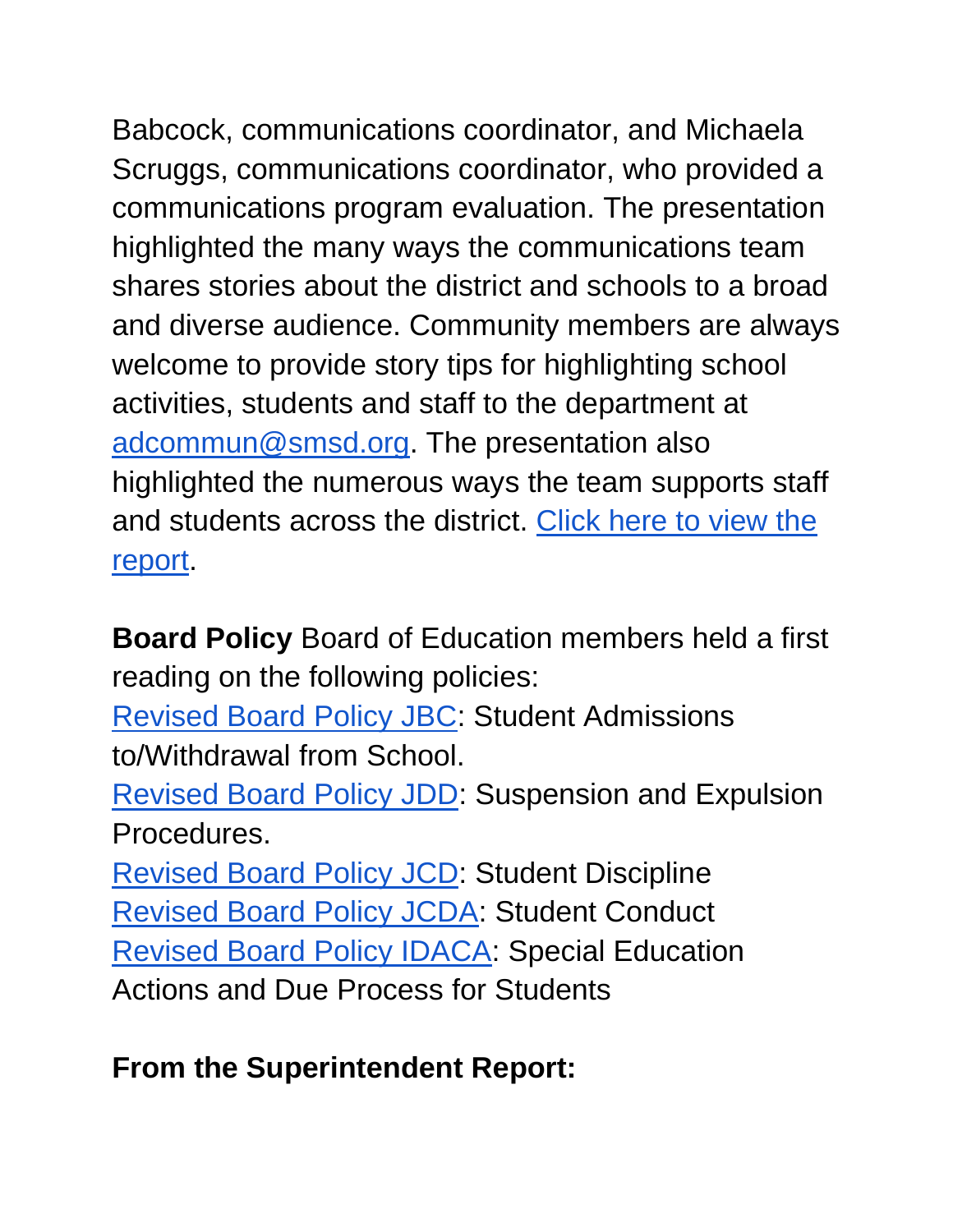Babcock, communications coordinator, and Michaela Scruggs, communications coordinator, who provided a communications program evaluation. The presentation highlighted the many ways the communications team shares stories about the district and schools to a broad and diverse audience. Community members are always welcome to provide story tips for highlighting school activities, students and staff to the department at [adcommun@smsd.org.](mailto:adcommun@smsd.org) The presentation also highlighted the numerous ways the team supports staff and students across the district. [Click here to view the](https://go.boarddocs.com/ks/smsd/Board.nsf/files/CAFL6B54D77C/$file/1.10.22%20Communications%20Program%20Evaluation_.pdf)  [report.](https://go.boarddocs.com/ks/smsd/Board.nsf/files/CAFL6B54D77C/$file/1.10.22%20Communications%20Program%20Evaluation_.pdf)

**Board Policy** Board of Education members held a first reading on the following policies:

[Revised Board Policy JBC:](http://go.boarddocs.com/ks/smsd/Board.nsf/goto?open&id=C9QJPC4E1F4E) Student Admissions to/Withdrawal from School.

[Revised Board Policy JDD:](http://go.boarddocs.com/ks/smsd/Board.nsf/goto?open&id=C9HM5W591199) Suspension and Expulsion Procedures.

[Revised Board Policy](http://go.boarddocs.com/ks/smsd/Board.nsf/goto?open&id=C9HM5Y591276) JCD: Student Discipline [Revised Board Policy JCDA:](http://go.boarddocs.com/ks/smsd/Board.nsf/goto?open&id=C9HM5Z59130B) Student Conduct [Revised Board Policy IDACA:](http://go.boarddocs.com/ks/smsd/Board.nsf/goto?open&id=C9HM625913A4) Special Education Actions and Due Process for Students

### **From the Superintendent Report:**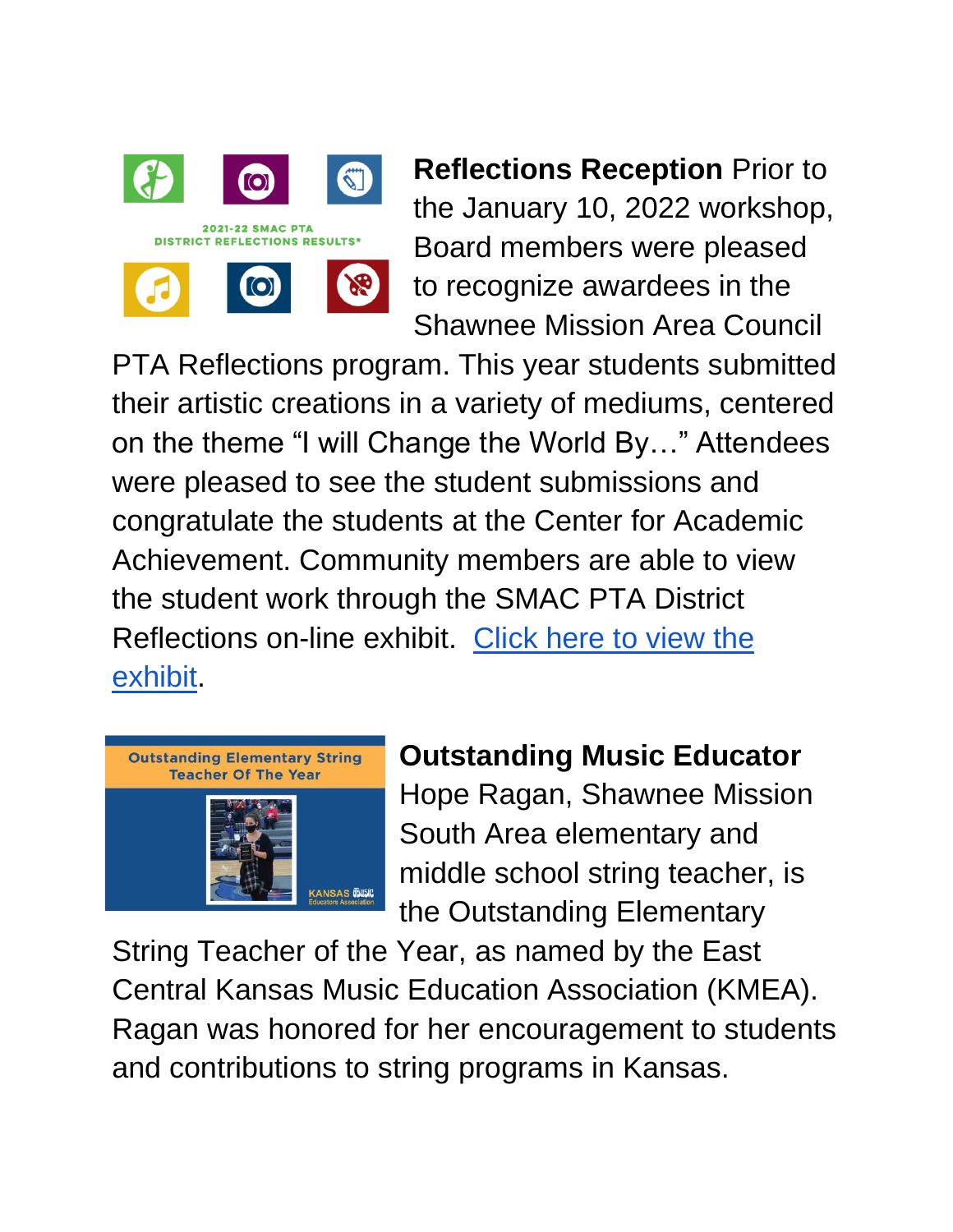

**Reflections Reception** Prior to the January 10, 2022 workshop, Board members were pleased to recognize awardees in the Shawnee Mission Area Council

PTA Reflections program. This year students submitted their artistic creations in a variety of mediums, centered on the theme "I will Change the World By…" Attendees were pleased to see the student submissions and congratulate the students at the Center for Academic Achievement. Community members are able to view the student work through the SMAC PTA District Reflections on-line exhibit. [Click here to view the](https://www.smac-pta.org/copy-of-2020-21-pta-reflections-results)  [exhibit.](https://www.smac-pta.org/copy-of-2020-21-pta-reflections-results)



### **Outstanding Music Educator**

Hope Ragan, Shawnee Mission South Area elementary and middle school string teacher, is the Outstanding Elementary

String Teacher of the Year, as named by the East Central Kansas Music Education Association (KMEA). Ragan was honored for her encouragement to students and contributions to string programs in Kansas.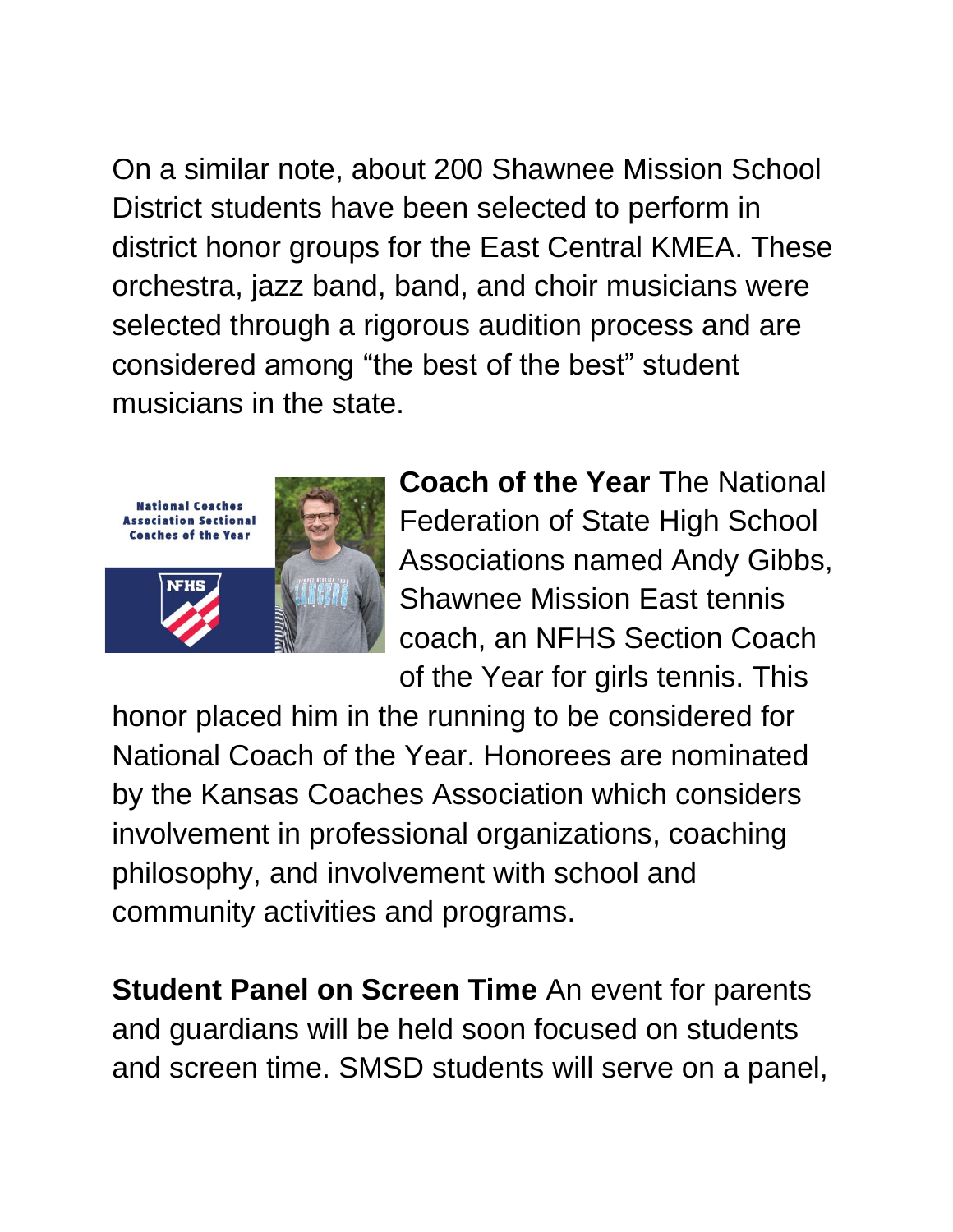On a similar note, about 200 Shawnee Mission School District students have been selected to perform in district honor groups for the East Central KMEA. These orchestra, jazz band, band, and choir musicians were selected through a rigorous audition process and are considered among "the best of the best" student musicians in the state.



**Coach of the Year** The National Federation of State High School Associations named Andy Gibbs, Shawnee Mission East tennis coach, an NFHS Section Coach of the Year for girls tennis. This

honor placed him in the running to be considered for National Coach of the Year. Honorees are nominated by the Kansas Coaches Association which considers involvement in professional organizations, coaching philosophy, and involvement with school and community activities and programs.

**Student Panel on Screen Time** An event for parents and guardians will be held soon focused on students and screen time. SMSD students will serve on a panel,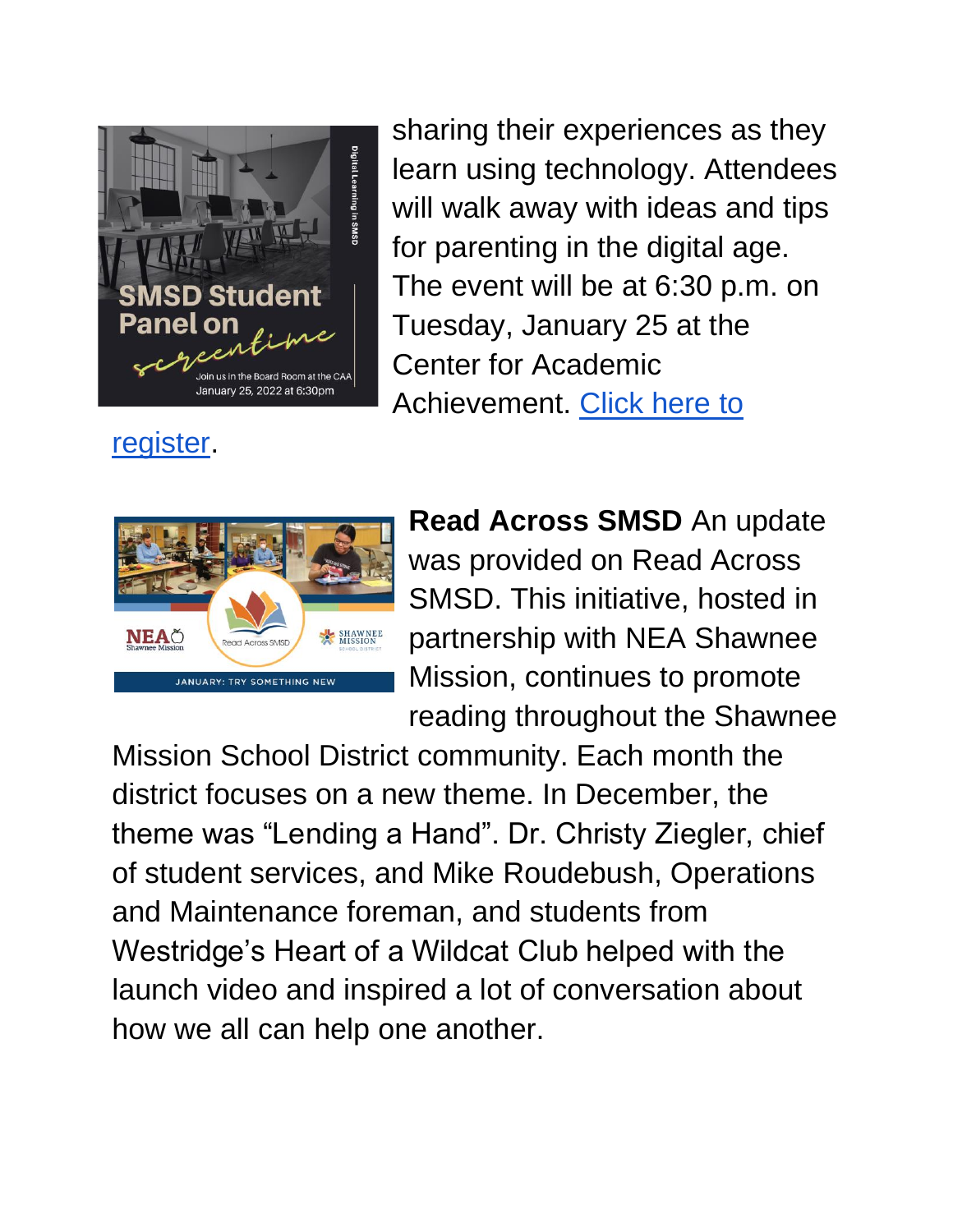

[register.](https://www.smsd.org/academics/digital-learning-initiative/parent-events)

sharing their experiences as they learn using technology. Attendees will walk away with ideas and tips for parenting in the digital age. The event will be at 6:30 p.m. on Tuesday, January 25 at the Center for Academic Achievement. [Click here to](https://www.smsd.org/academics/digital-learning-initiative/parent-events) 



**Read Across SMSD** An update was provided on Read Across SMSD. This initiative, hosted in partnership with NEA Shawnee Mission, continues to promote reading throughout the Shawnee

Mission School District community. Each month the district focuses on a new theme. In December, the theme was "Lending a Hand". Dr. Christy Ziegler, chief of student services, and Mike Roudebush, Operations and Maintenance foreman, and students from Westridge's Heart of a Wildcat Club helped with the launch video and inspired a lot of conversation about how we all can help one another.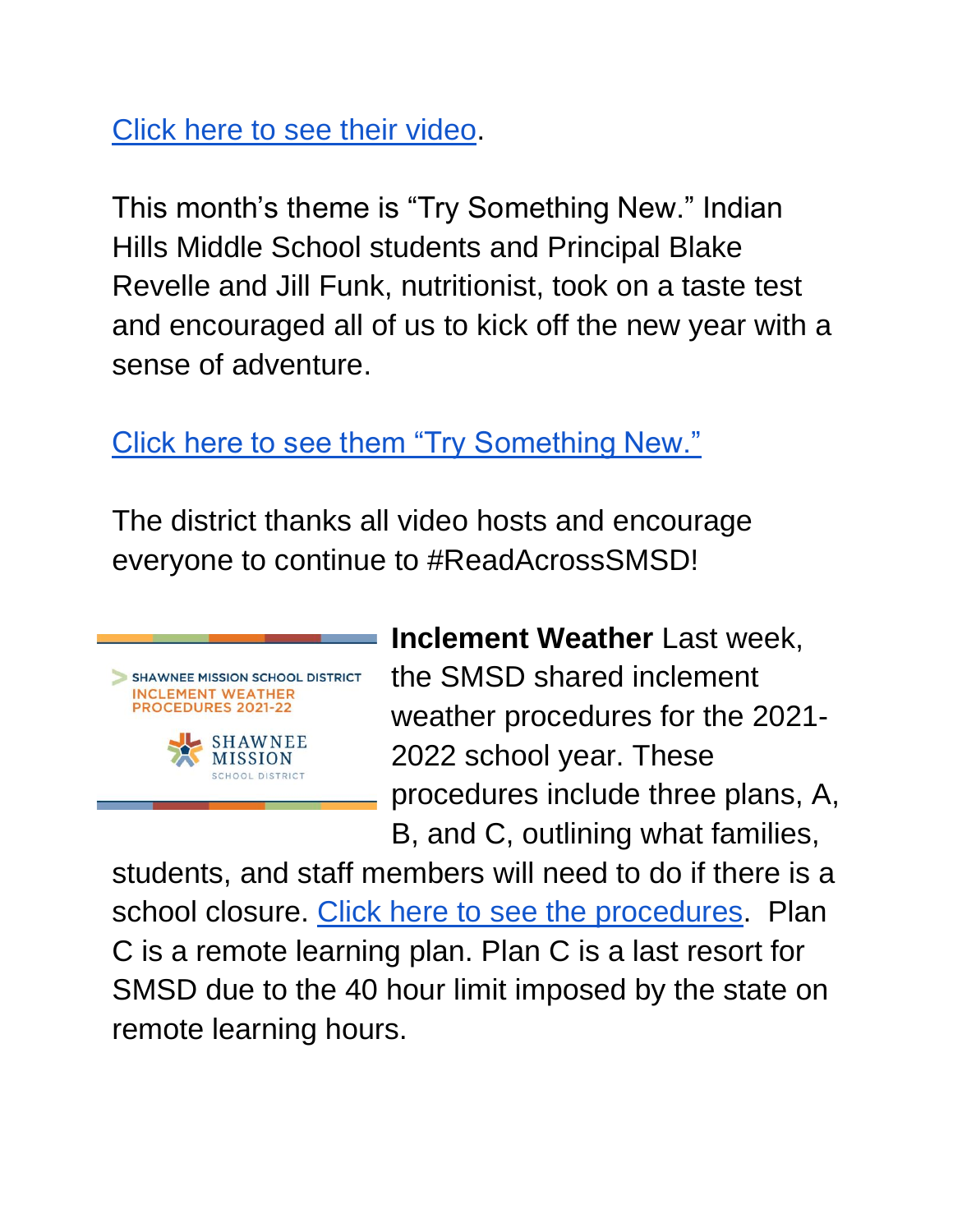[Click here to see their video.](https://youtu.be/A6stM8bHDy4)

This month's theme is "Try Something New." Indian Hills Middle School students and Principal Blake Revelle and Jill Funk, nutritionist, took on a taste test and encouraged all of us to kick off the new year with a sense of adventure.

[Click here to see them "Try Something New."](https://youtu.be/olYPPWEC3L8) 

The district thanks all video hosts and encourage everyone to continue to #ReadAcrossSMSD!



**Inclement Weather** Last week, the SMSD shared inclement weather procedures for the 2021- 2022 school year. These procedures include three plans, A, B, and C, outlining what families,

students, and staff members will need to do if there is a school closure. [Click here to see the procedures.](https://drive.google.com/file/d/1cTWIYNEg1cSkPXrL-7bhMxg_xzyQdKVv/view?usp=sharing) Plan C is a remote learning plan. Plan C is a last resort for SMSD due to the 40 hour limit imposed by the state on remote learning hours.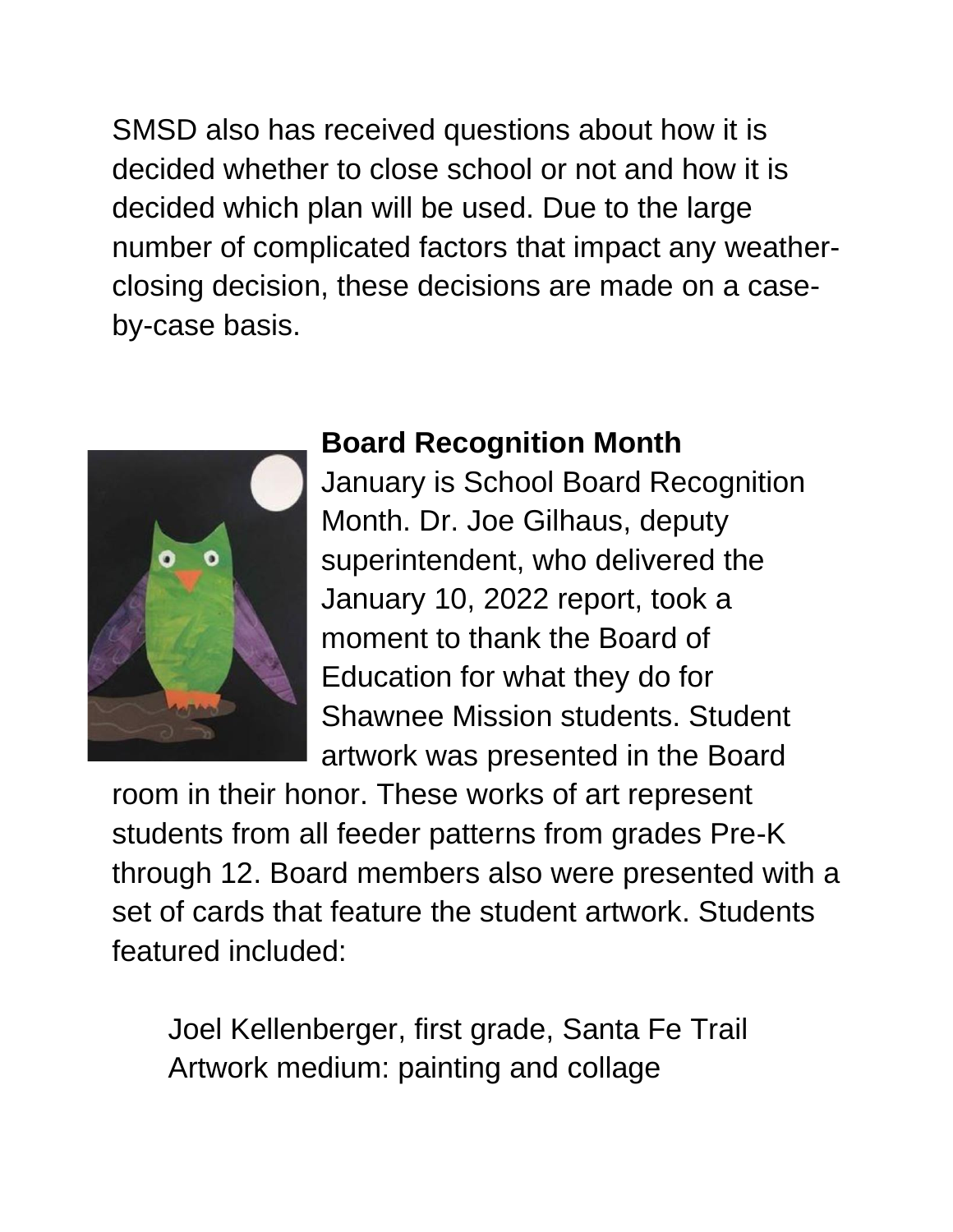SMSD also has received questions about how it is decided whether to close school or not and how it is decided which plan will be used. Due to the large number of complicated factors that impact any weatherclosing decision, these decisions are made on a caseby-case basis.



#### **Board Recognition Month**

January is School Board Recognition Month. Dr. Joe Gilhaus, deputy superintendent, who delivered the January 10, 2022 report, took a moment to thank the Board of Education for what they do for Shawnee Mission students. Student artwork was presented in the Board

room in their honor. These works of art represent students from all feeder patterns from grades Pre-K through 12. Board members also were presented with a set of cards that feature the student artwork. Students featured included:

Joel Kellenberger, first grade, Santa Fe Trail Artwork medium: painting and collage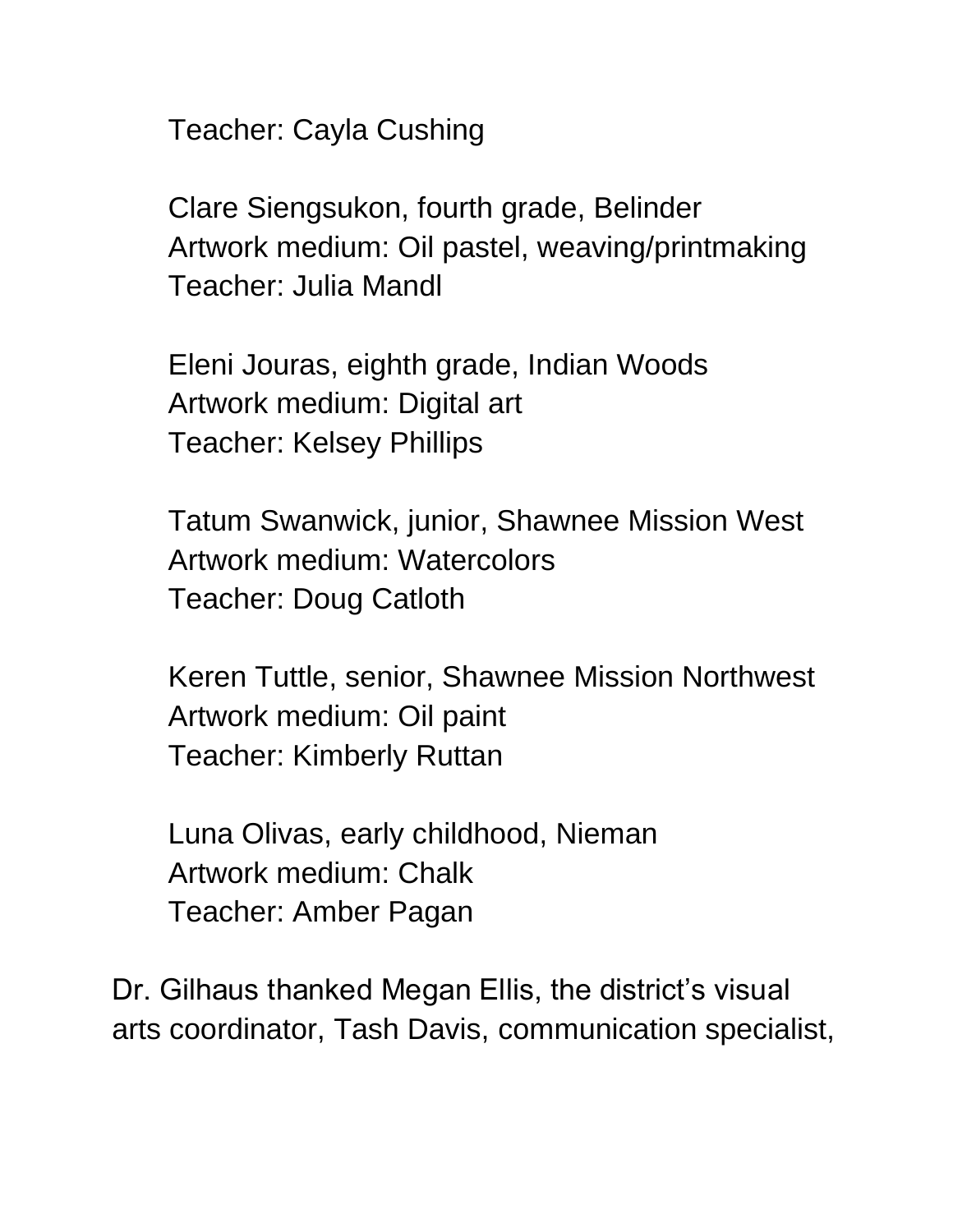Teacher: Cayla Cushing

Clare Siengsukon, fourth grade, Belinder Artwork medium: Oil pastel, weaving/printmaking Teacher: Julia Mandl

Eleni Jouras, eighth grade, Indian Woods Artwork medium: Digital art Teacher: Kelsey Phillips

Tatum Swanwick, junior, Shawnee Mission West Artwork medium: Watercolors Teacher: Doug Catloth

Keren Tuttle, senior, Shawnee Mission Northwest Artwork medium: Oil paint Teacher: Kimberly Ruttan

Luna Olivas, early childhood, Nieman Artwork medium: Chalk Teacher: Amber Pagan

Dr. Gilhaus thanked Megan Ellis, the district's visual arts coordinator, Tash Davis, communication specialist,